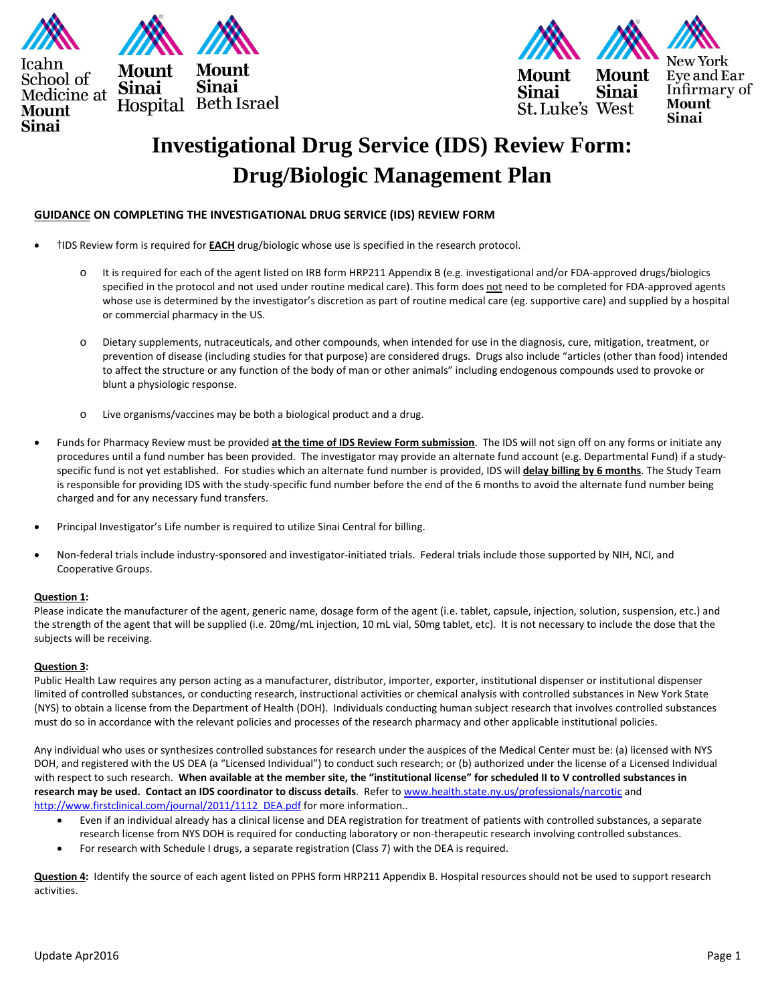



**Sinai** Sinai St. Luke's West

Eye and Ear Infirmary of **Mount** Sinai

# **Investigational Drug Service (IDS) Review Form: Drug/Biologic Management Plan**

## **GUIDANCE ON COMPLETING THE INVESTIGATIONAL DRUG SERVICE (IDS) REVIEW FORM**

- †IDS Review form is required for **EACH** drug/biologic whose use is specified in the research protocol.
	- o It is required for each of the agent listed on IRB form HRP211 Appendix B (e.g. investigational and/or FDA-approved drugs/biologics specified in the protocol and not used under routine medical care). This form does not need to be completed for FDA-approved agents whose use is determined by the investigator's discretion as part of routine medical care (eg. supportive care) and supplied by a hospital or commercial pharmacy in the US.
	- o Dietary supplements, nutraceuticals, and other compounds, when intended for use in the diagnosis, cure, mitigation, treatment, or prevention of disease (including studies for that purpose) are considered drugs. Drugs also include "articles (other than food) intended to affect the structure or any function of the body of man or other animals" including endogenous compounds used to provoke or blunt a physiologic response.
	- o Live organisms/vaccines may be both a biological product and a drug.
- Funds for Pharmacy Review must be provided **at the time of IDS Review Form submission**. The IDS will not sign off on any forms or initiate any procedures until a fund number has been provided. The investigator may provide an alternate fund account (e.g. Departmental Fund) if a studyspecific fund is not yet established. For studies which an alternate fund number is provided, IDS will **delay billing by 6 months**. The Study Team is responsible for providing IDS with the study-specific fund number before the end of the 6 months to avoid the alternate fund number being charged and for any necessary fund transfers.
- Principal Investigator's Life number is required to utilize Sinai Central for billing.
- Non-federal trials include industry-sponsored and investigator-initiated trials. Federal trials include those supported by NIH, NCI, and Cooperative Groups.

#### **Question 1:**

Please indicate the manufacturer of the agent, generic name, dosage form of the agent (i.e. tablet, capsule, injection, solution, suspension, etc.) and the strength of the agent that will be supplied (i.e. 20mg/mL injection, 10 mL vial, 50mg tablet, etc). It is not necessary to include the dose that the subjects will be receiving.

#### **Question 3:**

Public Health Law requires any person acting as a manufacturer, distributor, importer, exporter, institutional dispenser or institutional dispenser limited of controlled substances, or conducting research, instructional activities or chemical analysis with controlled substances in New York State (NYS) to obtain a license from the Department of Health (DOH). Individuals conducting human subject research that involves controlled substances must do so in accordance with the relevant policies and processes of the research pharmacy and other applicable institutional policies.

Any individual who uses or synthesizes controlled substances for research under the auspices of the Medical Center must be: (a) licensed with NYS DOH, and registered with the US DEA (a "Licensed Individual") to conduct such research; or (b) authorized under the license of a Licensed Individual with respect to such research. **When available at the member site, the "institutional license" for scheduled II to V controlled substances in research may be used. Contact an IDS coordinator to discuss details**. Refer to [www.health.state.ny.us/professionals/narcotic](http://www.health.state.ny.us/professionals/narcotic) and [http://www.firstclinical.com/journal/2011/1112\\_DEA.pdf](http://www.firstclinical.com/journal/2011/1112_DEA.pdf) for more information..

- Even if an individual already has a clinical license and DEA registration for treatment of patients with controlled substances, a separate research license from NYS DOH is required for conducting laboratory or non-therapeutic research involving controlled substances.
- For research with Schedule I drugs, a separate registration (Class 7) with the DEA is required.

**Question 4:** Identify the source of each agent listed on PPHS form HRP211 Appendix B. Hospital resources should not be used to support research activities.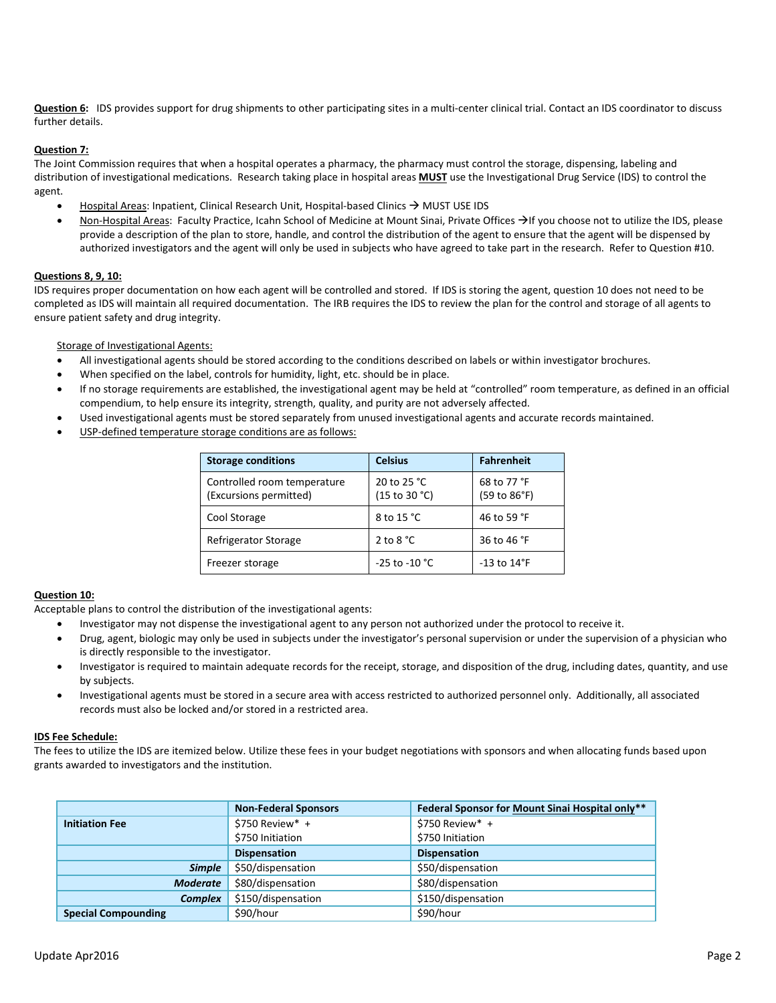**Question 6:** IDS provides support for drug shipments to other participating sites in a multi-center clinical trial. Contact an IDS coordinator to discuss further details.

#### **Question 7:**

The Joint Commission requires that when a hospital operates a pharmacy, the pharmacy must control the storage, dispensing, labeling and distribution of investigational medications. Research taking place in hospital areas **MUST** use the Investigational Drug Service (IDS) to control the agent.

- Hospital Areas: Inpatient, Clinical Research Unit, Hospital-based Clinics  $\rightarrow$  MUST USE IDS
- Non-Hospital Areas: Faculty Practice, Icahn School of Medicine at Mount Sinai, Private Offices  $\rightarrow$  If you choose not to utilize the IDS, please provide a description of the plan to store, handle, and control the distribution of the agent to ensure that the agent will be dispensed by authorized investigators and the agent will only be used in subjects who have agreed to take part in the research. Refer to Question #10.

### **Questions 8, 9, 10:**

IDS requires proper documentation on how each agent will be controlled and stored. If IDS is storing the agent, question 10 does not need to be completed as IDS will maintain all required documentation. The IRB requires the IDS to review the plan for the control and storage of all agents to ensure patient safety and drug integrity.

Storage of Investigational Agents:

- All investigational agents should be stored according to the conditions described on labels or within investigator brochures.
- When specified on the label, controls for humidity, light, etc. should be in place.
- If no storage requirements are established, the investigational agent may be held at "controlled" room temperature, as defined in an official compendium, to help ensure its integrity, strength, quality, and purity are not adversely affected.
- Used investigational agents must be stored separately from unused investigational agents and accurate records maintained.
- USP-defined temperature storage conditions are as follows:

| <b>Storage conditions</b>                             | <b>Celsius</b>               | <b>Fahrenheit</b>           |
|-------------------------------------------------------|------------------------------|-----------------------------|
| Controlled room temperature<br>(Excursions permitted) | 20 to 25 °C<br>(15 to 30 °C) | 68 to 77 °F<br>(59 to 86°F) |
| Cool Storage                                          | 8 to 15 °C                   | 46 to 59 °F                 |
| Refrigerator Storage                                  | 2 to 8 $^{\circ}$ C          | 36 to 46 °F                 |
| Freezer storage                                       | $-25$ to $-10$ °C            | -13 to $14^{\circ}$ F       |

#### **Question 10:**

Acceptable plans to control the distribution of the investigational agents:

- Investigator may not dispense the investigational agent to any person not authorized under the protocol to receive it.
- Drug, agent, biologic may only be used in subjects under the investigator's personal supervision or under the supervision of a physician who is directly responsible to the investigator.
- Investigator is required to maintain adequate records for the receipt, storage, and disposition of the drug, including dates, quantity, and use by subjects.
- Investigational agents must be stored in a secure area with access restricted to authorized personnel only. Additionally, all associated records must also be locked and/or stored in a restricted area.

#### **IDS Fee Schedule:**

The fees to utilize the IDS are itemized below. Utilize these fees in your budget negotiations with sponsors and when allocating funds based upon grants awarded to investigators and the institution.

|                            | <b>Non-Federal Sponsors</b> | Federal Sponsor for Mount Sinai Hospital only** |
|----------------------------|-----------------------------|-------------------------------------------------|
| <b>Initiation Fee</b>      | $$750$ Review* +            | \$750 Review* +                                 |
|                            | \$750 Initiation            | \$750 Initiation                                |
|                            | <b>Dispensation</b>         | <b>Dispensation</b>                             |
| <b>Simple</b>              | \$50/dispensation           | \$50/dispensation                               |
| <b>Moderate</b>            | \$80/dispensation           | \$80/dispensation                               |
| <b>Complex</b>             | \$150/dispensation          | \$150/dispensation                              |
| <b>Special Compounding</b> | \$90/hour                   | \$90/hour                                       |